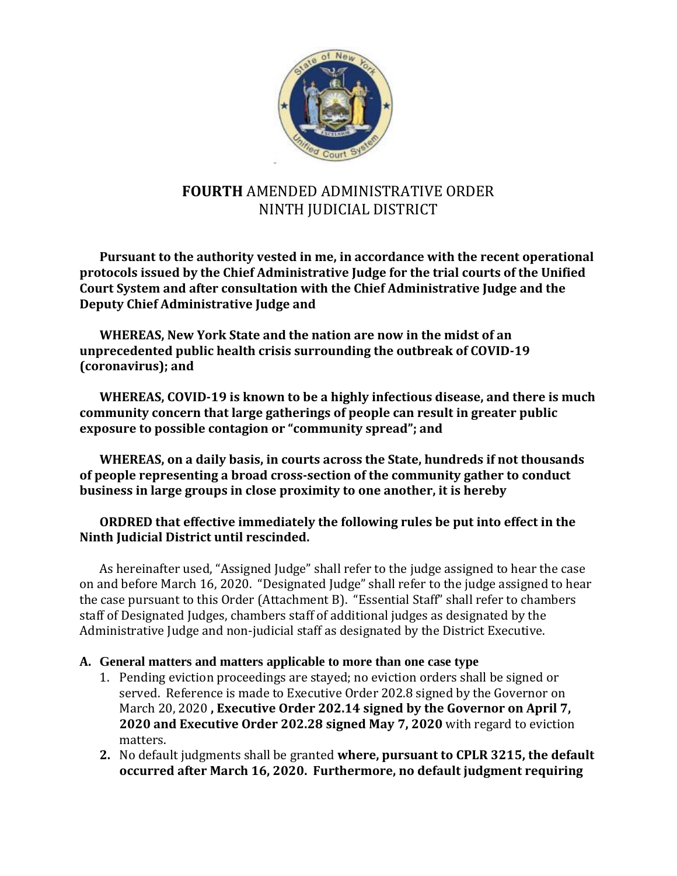

# **FOURTH** AMENDED ADMINISTRATIVE ORDER NINTH JUDICIAL DISTRICT

**Pursuant to the authority vested in me, in accordance with the recent operational protocols issued by the Chief Administrative Judge for the trial courts of the Unified Court System and after consultation with the Chief Administrative Judge and the Deputy Chief Administrative Judge and** 

**WHEREAS, New York State and the nation are now in the midst of an unprecedented public health crisis surrounding the outbreak of COVID-19 (coronavirus); and**

**WHEREAS, COVID-19 is known to be a highly infectious disease, and there is much community concern that large gatherings of people can result in greater public exposure to possible contagion or "community spread"; and**

**WHEREAS, on a daily basis, in courts across the State, hundreds if not thousands of people representing a broad cross-section of the community gather to conduct business in large groups in close proximity to one another, it is hereby**

#### **ORDRED that effective immediately the following rules be put into effect in the Ninth Judicial District until rescinded.**

As hereinafter used, "Assigned Judge" shall refer to the judge assigned to hear the case on and before March 16, 2020. "Designated Judge" shall refer to the judge assigned to hear the case pursuant to this Order (Attachment B). "Essential Staff" shall refer to chambers staff of Designated Judges, chambers staff of additional judges as designated by the Administrative Judge and non-judicial staff as designated by the District Executive.

#### **A. General matters and matters applicable to more than one case type**

- 1. Pending eviction proceedings are stayed; no eviction orders shall be signed or served. Reference is made to Executive Order 202.8 signed by the Governor on March 20, 2020 **, Executive Order 202.14 signed by the Governor on April 7, 2020 and Executive Order 202.28 signed May 7, 2020** with regard to eviction matters.
- **2.** No default judgments shall be granted **where, pursuant to CPLR 3215, the default occurred after March 16, 2020. Furthermore, no default judgment requiring**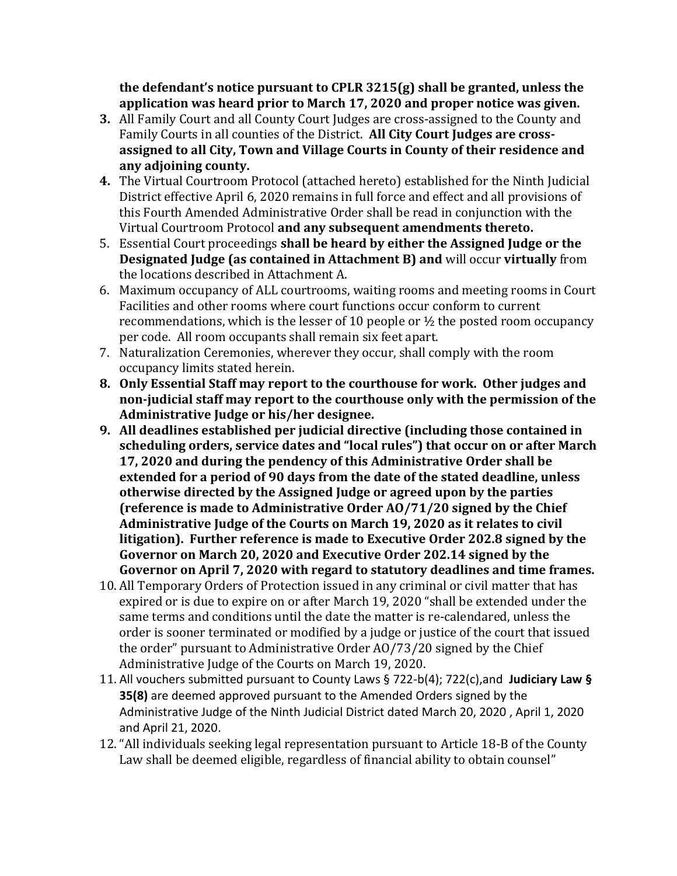**the defendant's notice pursuant to CPLR 3215(g) shall be granted, unless the application was heard prior to March 17, 2020 and proper notice was given.**

- **3.** All Family Court and all County Court Judges are cross-assigned to the County and Family Courts in all counties of the District. **All City Court Judges are crossassigned to all City, Town and Village Courts in County of their residence and any adjoining county.**
- **4.** The Virtual Courtroom Protocol (attached hereto) established for the Ninth Judicial District effective April 6, 2020 remains in full force and effect and all provisions of this Fourth Amended Administrative Order shall be read in conjunction with the Virtual Courtroom Protocol **and any subsequent amendments thereto.**
- 5. Essential Court proceedings **shall be heard by either the Assigned Judge or the Designated Judge (as contained in Attachment B) and** will occur **virtually** from the locations described in Attachment A.
- 6. Maximum occupancy of ALL courtrooms, waiting rooms and meeting rooms in Court Facilities and other rooms where court functions occur conform to current recommendations, which is the lesser of 10 people or  $\frac{1}{2}$  the posted room occupancy per code. All room occupants shall remain six feet apart.
- 7. Naturalization Ceremonies, wherever they occur, shall comply with the room occupancy limits stated herein.
- **8. Only Essential Staff may report to the courthouse for work. Other judges and non-judicial staff may report to the courthouse only with the permission of the Administrative Judge or his/her designee.**
- **9. All deadlines established per judicial directive (including those contained in scheduling orders, service dates and "local rules") that occur on or after March 17, 2020 and during the pendency of this Administrative Order shall be extended for a period of 90 days from the date of the stated deadline, unless otherwise directed by the Assigned Judge or agreed upon by the parties (reference is made to Administrative Order AO/71/20 signed by the Chief Administrative Judge of the Courts on March 19, 2020 as it relates to civil litigation). Further reference is made to Executive Order 202.8 signed by the Governor on March 20, 2020 and Executive Order 202.14 signed by the Governor on April 7, 2020 with regard to statutory deadlines and time frames.**
- 10. All Temporary Orders of Protection issued in any criminal or civil matter that has expired or is due to expire on or after March 19, 2020 "shall be extended under the same terms and conditions until the date the matter is re-calendared, unless the order is sooner terminated or modified by a judge or justice of the court that issued the order" pursuant to Administrative Order AO/73/20 signed by the Chief Administrative Judge of the Courts on March 19, 2020.
- 11. All vouchers submitted pursuant to County Laws § 722-b(4); 722(c),and **Judiciary Law § 35(8)** are deemed approved pursuant to the Amended Orders signed by the Administrative Judge of the Ninth Judicial District dated March 20, 2020 , April 1, 2020 and April 21, 2020.
- 12. "All individuals seeking legal representation pursuant to Article 18-B of the County Law shall be deemed eligible, regardless of financial ability to obtain counsel"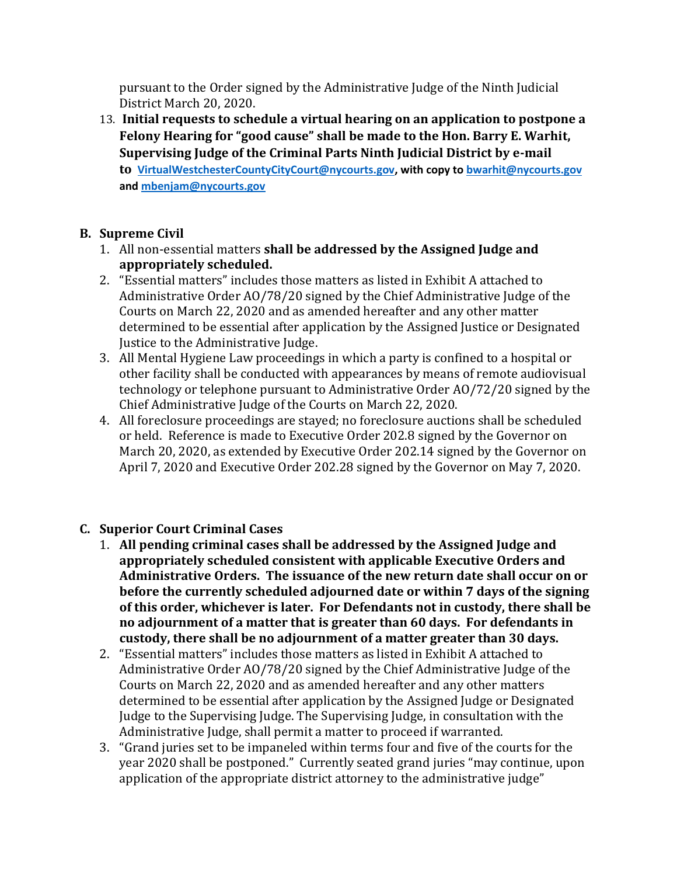pursuant to the Order signed by the Administrative Judge of the Ninth Judicial District March 20, 2020.

13. **Initial requests to schedule a virtual hearing on an application to postpone a Felony Hearing for "good cause" shall be made to the Hon. Barry E. Warhit, Supervising Judge of the Criminal Parts Ninth Judicial District by e-mail to [VirtualWestchesterCountyCityCourt@nycourts.gov,](mailto:VirtualWestchesterCountyCityCourt@nycourts.gov) with copy t[o bwarhit@nycourts.gov](mailto:bwarhit@nycourts.gov) an[d mbenjam@nycourts.gov](mailto:mbenjam@nycourts.gov)**

# **B. Supreme Civil**

- 1. All non-essential matters **shall be addressed by the Assigned Judge and appropriately scheduled.**
- 2. "Essential matters" includes those matters as listed in Exhibit A attached to Administrative Order AO/78/20 signed by the Chief Administrative Judge of the Courts on March 22, 2020 and as amended hereafter and any other matter determined to be essential after application by the Assigned Justice or Designated Justice to the Administrative Judge.
- 3. All Mental Hygiene Law proceedings in which a party is confined to a hospital or other facility shall be conducted with appearances by means of remote audiovisual technology or telephone pursuant to Administrative Order AO/72/20 signed by the Chief Administrative Judge of the Courts on March 22, 2020.
- 4. All foreclosure proceedings are stayed; no foreclosure auctions shall be scheduled or held. Reference is made to Executive Order 202.8 signed by the Governor on March 20, 2020, as extended by Executive Order 202.14 signed by the Governor on April 7, 2020 and Executive Order 202.28 signed by the Governor on May 7, 2020.
- **C. Superior Court Criminal Cases**
	- 1. **All pending criminal cases shall be addressed by the Assigned Judge and appropriately scheduled consistent with applicable Executive Orders and Administrative Orders. The issuance of the new return date shall occur on or before the currently scheduled adjourned date or within 7 days of the signing of this order, whichever is later. For Defendants not in custody, there shall be no adjournment of a matter that is greater than 60 days. For defendants in custody, there shall be no adjournment of a matter greater than 30 days.**
	- 2. "Essential matters" includes those matters as listed in Exhibit A attached to Administrative Order AO/78/20 signed by the Chief Administrative Judge of the Courts on March 22, 2020 and as amended hereafter and any other matters determined to be essential after application by the Assigned Judge or Designated Judge to the Supervising Judge. The Supervising Judge, in consultation with the Administrative Judge, shall permit a matter to proceed if warranted.
	- 3. "Grand juries set to be impaneled within terms four and five of the courts for the year 2020 shall be postponed." Currently seated grand juries "may continue, upon application of the appropriate district attorney to the administrative judge"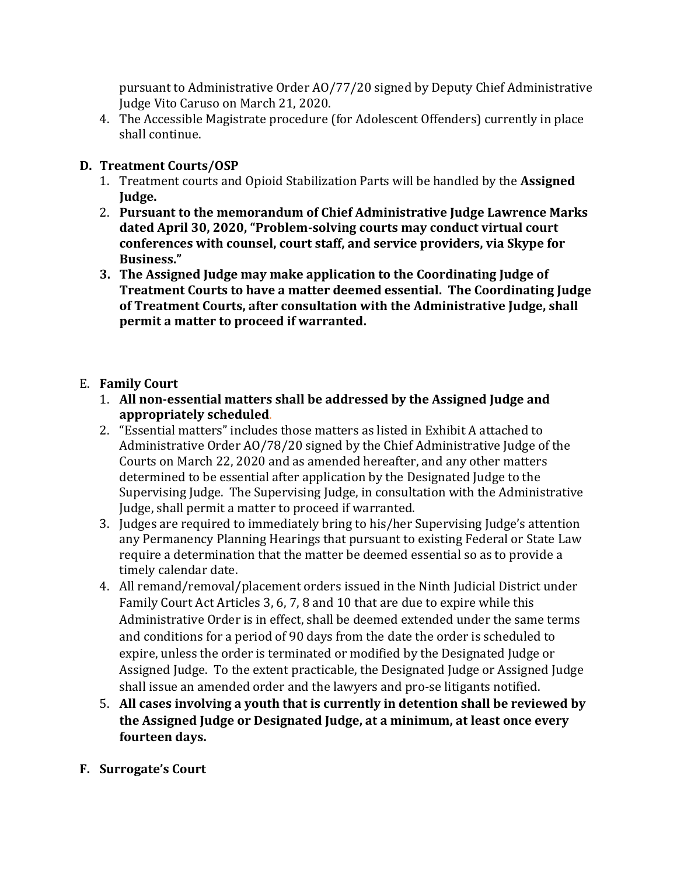pursuant to Administrative Order AO/77/20 signed by Deputy Chief Administrative Judge Vito Caruso on March 21, 2020.

4. The Accessible Magistrate procedure (for Adolescent Offenders) currently in place shall continue.

### **D. Treatment Courts/OSP**

- 1. Treatment courts and Opioid Stabilization Parts will be handled by the **Assigned Judge.**
- 2. **Pursuant to the memorandum of Chief Administrative Judge Lawrence Marks dated April 30, 2020, "Problem-solving courts may conduct virtual court conferences with counsel, court staff, and service providers, via Skype for Business."**
- **3. The Assigned Judge may make application to the Coordinating Judge of Treatment Courts to have a matter deemed essential. The Coordinating Judge of Treatment Courts, after consultation with the Administrative Judge, shall permit a matter to proceed if warranted.**

### E. **Family Court**

- 1. **All non-essential matters shall be addressed by the Assigned Judge and appropriately scheduled**.
- 2. "Essential matters" includes those matters as listed in Exhibit A attached to Administrative Order AO/78/20 signed by the Chief Administrative Judge of the Courts on March 22, 2020 and as amended hereafter, and any other matters determined to be essential after application by the Designated Judge to the Supervising Judge. The Supervising Judge, in consultation with the Administrative Judge, shall permit a matter to proceed if warranted.
- 3. Judges are required to immediately bring to his/her Supervising Judge's attention any Permanency Planning Hearings that pursuant to existing Federal or State Law require a determination that the matter be deemed essential so as to provide a timely calendar date.
- 4. All remand/removal/placement orders issued in the Ninth Judicial District under Family Court Act Articles 3, 6, 7, 8 and 10 that are due to expire while this Administrative Order is in effect, shall be deemed extended under the same terms and conditions for a period of 90 days from the date the order is scheduled to expire, unless the order is terminated or modified by the Designated Judge or Assigned Judge. To the extent practicable, the Designated Judge or Assigned Judge shall issue an amended order and the lawyers and pro-se litigants notified.
- 5. **All cases involving a youth that is currently in detention shall be reviewed by the Assigned Judge or Designated Judge, at a minimum, at least once every fourteen days.**
- **F. Surrogate's Court**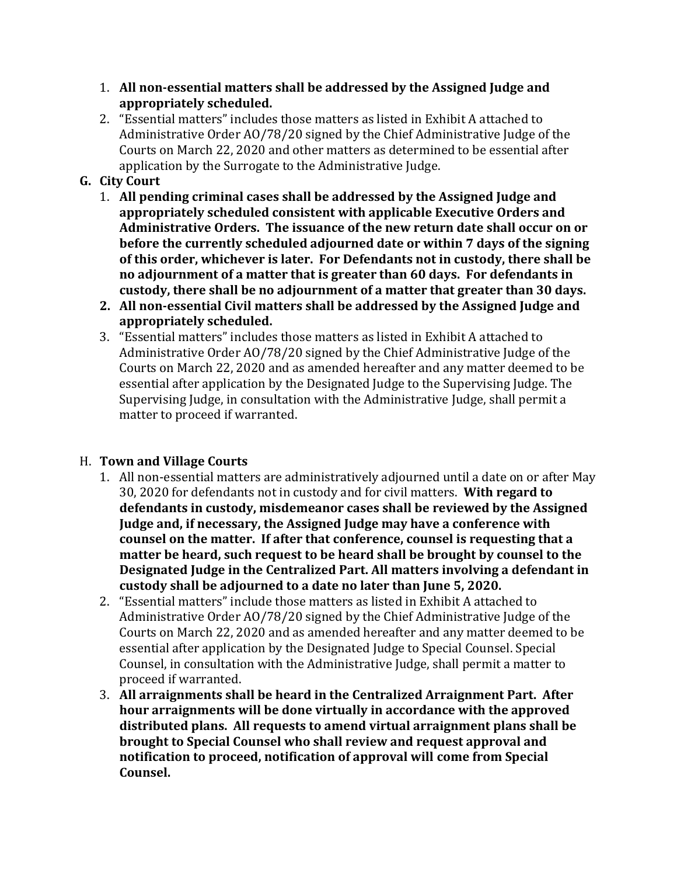- 1. **All non-essential matters shall be addressed by the Assigned Judge and appropriately scheduled.**
- 2. "Essential matters" includes those matters as listed in Exhibit A attached to Administrative Order AO/78/20 signed by the Chief Administrative Judge of the Courts on March 22, 2020 and other matters as determined to be essential after application by the Surrogate to the Administrative Judge.

# **G. City Court**

- 1. **All pending criminal cases shall be addressed by the Assigned Judge and appropriately scheduled consistent with applicable Executive Orders and Administrative Orders. The issuance of the new return date shall occur on or before the currently scheduled adjourned date or within 7 days of the signing of this order, whichever is later. For Defendants not in custody, there shall be no adjournment of a matter that is greater than 60 days. For defendants in custody, there shall be no adjournment of a matter that greater than 30 days.**
- **2. All non-essential Civil matters shall be addressed by the Assigned Judge and appropriately scheduled.**
- 3. "Essential matters" includes those matters as listed in Exhibit A attached to Administrative Order AO/78/20 signed by the Chief Administrative Judge of the Courts on March 22, 2020 and as amended hereafter and any matter deemed to be essential after application by the Designated Judge to the Supervising Judge. The Supervising Judge, in consultation with the Administrative Judge, shall permit a matter to proceed if warranted.

### H. **Town and Village Courts**

- 1. All non-essential matters are administratively adjourned until a date on or after May 30, 2020 for defendants not in custody and for civil matters. **With regard to defendants in custody, misdemeanor cases shall be reviewed by the Assigned Judge and, if necessary, the Assigned Judge may have a conference with counsel on the matter. If after that conference, counsel is requesting that a matter be heard, such request to be heard shall be brought by counsel to the Designated Judge in the Centralized Part. All matters involving a defendant in custody shall be adjourned to a date no later than June 5, 2020.**
- 2. "Essential matters" include those matters as listed in Exhibit A attached to Administrative Order AO/78/20 signed by the Chief Administrative Judge of the Courts on March 22, 2020 and as amended hereafter and any matter deemed to be essential after application by the Designated Judge to Special Counsel. Special Counsel, in consultation with the Administrative Judge, shall permit a matter to proceed if warranted.
- 3. **All arraignments shall be heard in the Centralized Arraignment Part. After hour arraignments will be done virtually in accordance with the approved distributed plans. All requests to amend virtual arraignment plans shall be brought to Special Counsel who shall review and request approval and notification to proceed, notification of approval will come from Special Counsel.**